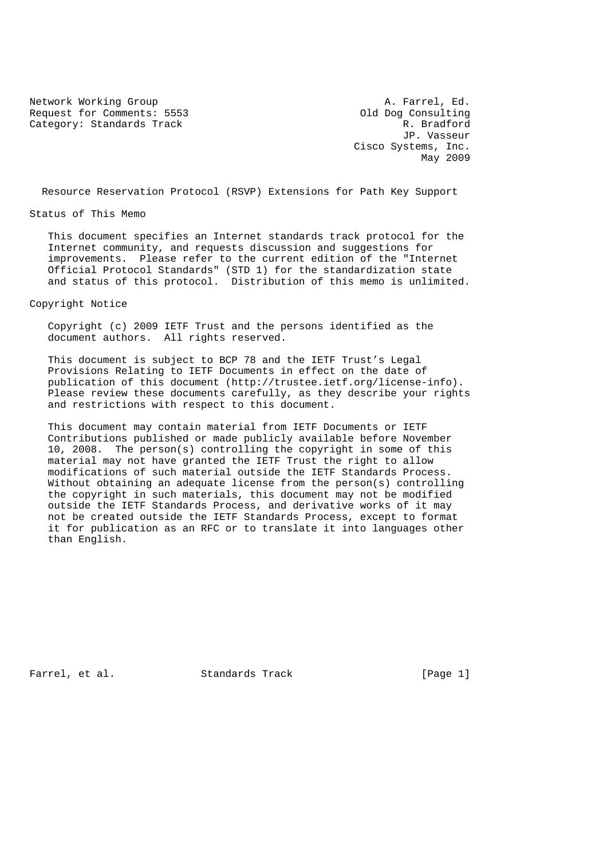Network Working Group and the set of the set of the Second A. Farrel, Ed. Request for Comments: 5553 Old Dog Consulting Category: Standards Track R. Bradford

 JP. Vasseur Cisco Systems, Inc. May 2009

Resource Reservation Protocol (RSVP) Extensions for Path Key Support

Status of This Memo

 This document specifies an Internet standards track protocol for the Internet community, and requests discussion and suggestions for improvements. Please refer to the current edition of the "Internet Official Protocol Standards" (STD 1) for the standardization state and status of this protocol. Distribution of this memo is unlimited.

Copyright Notice

 Copyright (c) 2009 IETF Trust and the persons identified as the document authors. All rights reserved.

 This document is subject to BCP 78 and the IETF Trust's Legal Provisions Relating to IETF Documents in effect on the date of publication of this document (http://trustee.ietf.org/license-info). Please review these documents carefully, as they describe your rights and restrictions with respect to this document.

 This document may contain material from IETF Documents or IETF Contributions published or made publicly available before November 10, 2008. The person(s) controlling the copyright in some of this material may not have granted the IETF Trust the right to allow modifications of such material outside the IETF Standards Process. Without obtaining an adequate license from the person(s) controlling the copyright in such materials, this document may not be modified outside the IETF Standards Process, and derivative works of it may not be created outside the IETF Standards Process, except to format it for publication as an RFC or to translate it into languages other than English.

Farrel, et al. Standards Track [Page 1]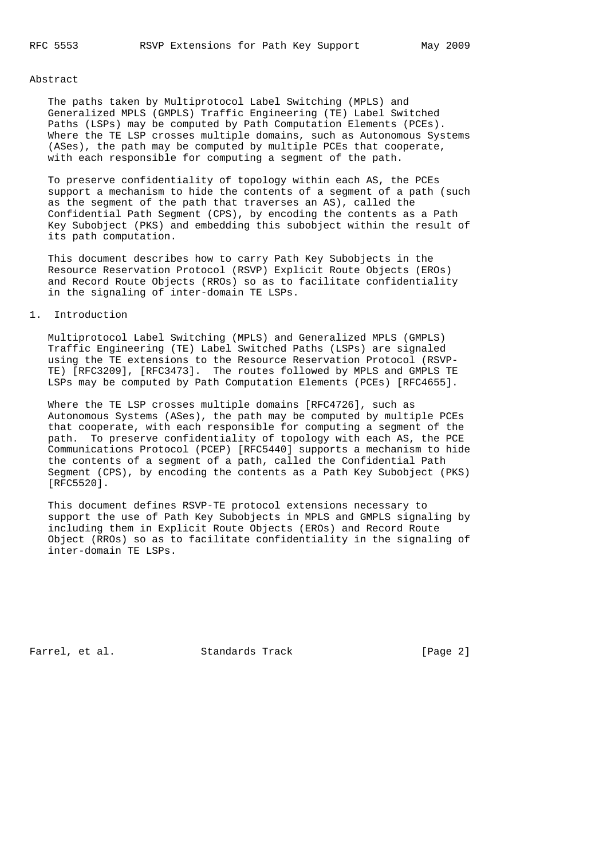#### Abstract

 The paths taken by Multiprotocol Label Switching (MPLS) and Generalized MPLS (GMPLS) Traffic Engineering (TE) Label Switched Paths (LSPs) may be computed by Path Computation Elements (PCEs). Where the TE LSP crosses multiple domains, such as Autonomous Systems (ASes), the path may be computed by multiple PCEs that cooperate, with each responsible for computing a segment of the path.

 To preserve confidentiality of topology within each AS, the PCEs support a mechanism to hide the contents of a segment of a path (such as the segment of the path that traverses an AS), called the Confidential Path Segment (CPS), by encoding the contents as a Path Key Subobject (PKS) and embedding this subobject within the result of its path computation.

 This document describes how to carry Path Key Subobjects in the Resource Reservation Protocol (RSVP) Explicit Route Objects (EROs) and Record Route Objects (RROs) so as to facilitate confidentiality in the signaling of inter-domain TE LSPs.

# 1. Introduction

 Multiprotocol Label Switching (MPLS) and Generalized MPLS (GMPLS) Traffic Engineering (TE) Label Switched Paths (LSPs) are signaled using the TE extensions to the Resource Reservation Protocol (RSVP- TE) [RFC3209], [RFC3473]. The routes followed by MPLS and GMPLS TE LSPs may be computed by Path Computation Elements (PCEs) [RFC4655].

 Where the TE LSP crosses multiple domains [RFC4726], such as Autonomous Systems (ASes), the path may be computed by multiple PCEs that cooperate, with each responsible for computing a segment of the path. To preserve confidentiality of topology with each AS, the PCE Communications Protocol (PCEP) [RFC5440] supports a mechanism to hide the contents of a segment of a path, called the Confidential Path Segment (CPS), by encoding the contents as a Path Key Subobject (PKS) [RFC5520].

 This document defines RSVP-TE protocol extensions necessary to support the use of Path Key Subobjects in MPLS and GMPLS signaling by including them in Explicit Route Objects (EROs) and Record Route Object (RROs) so as to facilitate confidentiality in the signaling of inter-domain TE LSPs.

Farrel, et al. Standards Track [Page 2]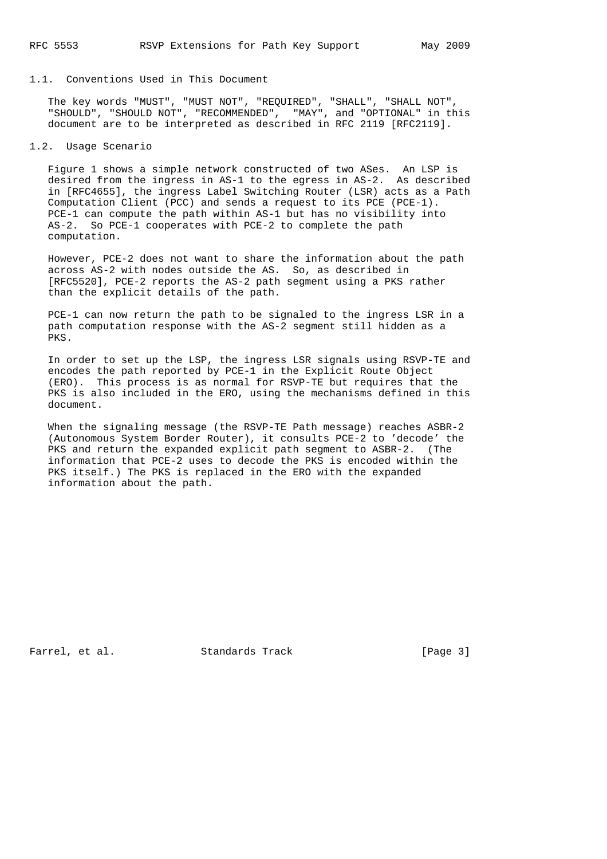#### 1.1. Conventions Used in This Document

 The key words "MUST", "MUST NOT", "REQUIRED", "SHALL", "SHALL NOT", "SHOULD", "SHOULD NOT", "RECOMMENDED", "MAY", and "OPTIONAL" in this document are to be interpreted as described in RFC 2119 [RFC2119].

# 1.2. Usage Scenario

 Figure 1 shows a simple network constructed of two ASes. An LSP is desired from the ingress in AS-1 to the egress in AS-2. As described in [RFC4655], the ingress Label Switching Router (LSR) acts as a Path Computation Client (PCC) and sends a request to its PCE (PCE-1). PCE-1 can compute the path within AS-1 but has no visibility into AS-2. So PCE-1 cooperates with PCE-2 to complete the path computation.

 However, PCE-2 does not want to share the information about the path across AS-2 with nodes outside the AS. So, as described in [RFC5520], PCE-2 reports the AS-2 path segment using a PKS rather than the explicit details of the path.

 PCE-1 can now return the path to be signaled to the ingress LSR in a path computation response with the AS-2 segment still hidden as a PKS.

 In order to set up the LSP, the ingress LSR signals using RSVP-TE and encodes the path reported by PCE-1 in the Explicit Route Object (ERO). This process is as normal for RSVP-TE but requires that the PKS is also included in the ERO, using the mechanisms defined in this document.

 When the signaling message (the RSVP-TE Path message) reaches ASBR-2 (Autonomous System Border Router), it consults PCE-2 to 'decode' the PKS and return the expanded explicit path segment to ASBR-2. (The information that PCE-2 uses to decode the PKS is encoded within the PKS itself.) The PKS is replaced in the ERO with the expanded information about the path.

Farrel, et al. Standards Track [Page 3]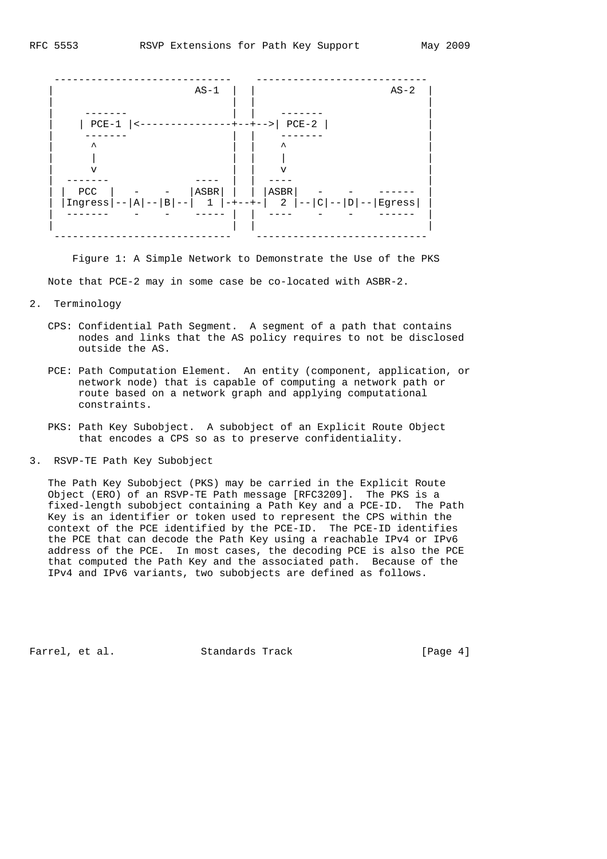

 Figure 1: A Simple Network to Demonstrate the Use of the PKS Note that PCE-2 may in some case be co-located with ASBR-2.

- 2. Terminology
	- CPS: Confidential Path Segment. A segment of a path that contains nodes and links that the AS policy requires to not be disclosed outside the AS.
	- PCE: Path Computation Element. An entity (component, application, or network node) that is capable of computing a network path or route based on a network graph and applying computational constraints.
	- PKS: Path Key Subobject. A subobject of an Explicit Route Object that encodes a CPS so as to preserve confidentiality.
- 3. RSVP-TE Path Key Subobject

 The Path Key Subobject (PKS) may be carried in the Explicit Route Object (ERO) of an RSVP-TE Path message [RFC3209]. The PKS is a fixed-length subobject containing a Path Key and a PCE-ID. The Path Key is an identifier or token used to represent the CPS within the context of the PCE identified by the PCE-ID. The PCE-ID identifies the PCE that can decode the Path Key using a reachable IPv4 or IPv6 address of the PCE. In most cases, the decoding PCE is also the PCE that computed the Path Key and the associated path. Because of the IPv4 and IPv6 variants, two subobjects are defined as follows.

Farrel, et al. Standards Track [Page 4]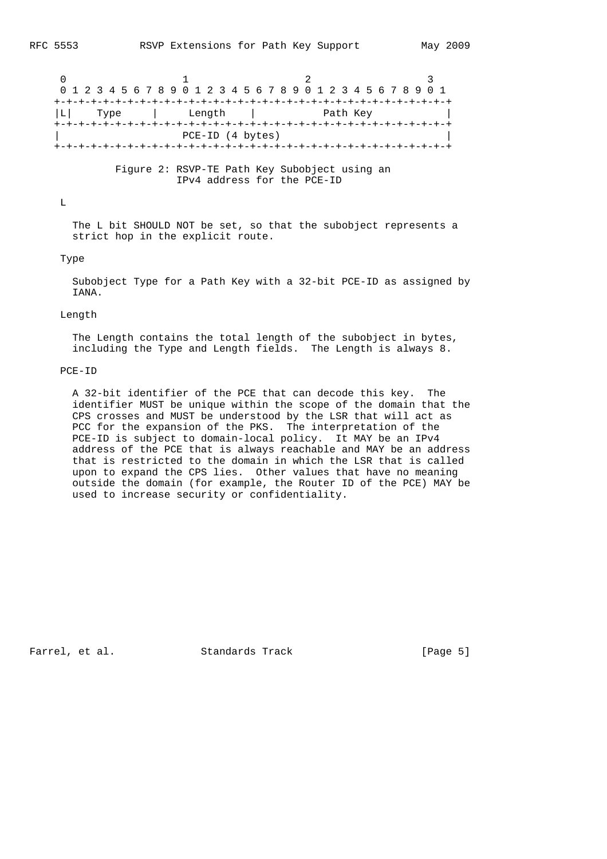$0$  1 2 3 0 1 2 3 4 5 6 7 8 9 0 1 2 3 4 5 6 7 8 9 0 1 2 3 4 5 6 7 8 9 0 1 +-+-+-+-+-+-+-+-+-+-+-+-+-+-+-+-+-+-+-+-+-+-+-+-+-+-+-+-+-+-+-+-+ |L| Type | Length | Path Key +-+-+-+-+-+-+-+-+-+-+-+-+-+-+-+-+-+-+-+-+-+-+-+-+-+-+-+-+-+-+-+-+ | PCE-ID (4 bytes) | +-+-+-+-+-+-+-+-+-+-+-+-+-+-+-+-+-+-+-+-+-+-+-+-+-+-+-+-+-+-+-+-+

> Figure 2: RSVP-TE Path Key Subobject using an IPv4 address for the PCE-ID

 $T_{\rm A}$ 

 The L bit SHOULD NOT be set, so that the subobject represents a strict hop in the explicit route.

#### Type

 Subobject Type for a Path Key with a 32-bit PCE-ID as assigned by IANA.

# Length

 The Length contains the total length of the subobject in bytes, including the Type and Length fields. The Length is always 8.

## PCE-ID

 A 32-bit identifier of the PCE that can decode this key. The identifier MUST be unique within the scope of the domain that the CPS crosses and MUST be understood by the LSR that will act as PCC for the expansion of the PKS. The interpretation of the PCE-ID is subject to domain-local policy. It MAY be an IPv4 address of the PCE that is always reachable and MAY be an address that is restricted to the domain in which the LSR that is called upon to expand the CPS lies. Other values that have no meaning outside the domain (for example, the Router ID of the PCE) MAY be used to increase security or confidentiality.

Farrel, et al. Standards Track [Page 5]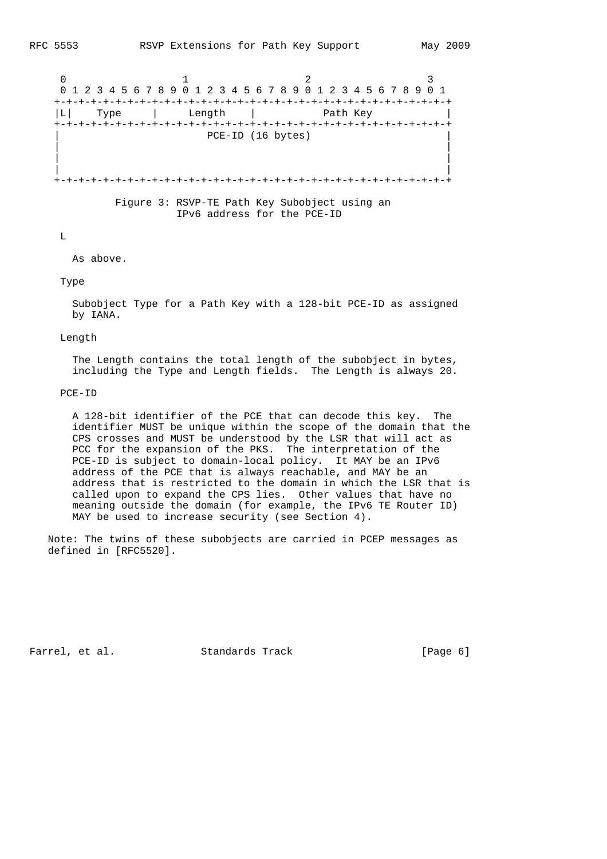$0$  1 2 3 0 1 2 3 4 5 6 7 8 9 0 1 2 3 4 5 6 7 8 9 0 1 2 3 4 5 6 7 8 9 0 1 +-+-+-+-+-+-+-+-+-+-+-+-+-+-+-+-+-+-+-+-+-+-+-+-+-+-+-+-+-+-+-+-+ |L| Type | Length | Path Key +-+-+-+-+-+-+-+-+-+-+-+-+-+-+-+-+-+-+-+-+-+-+-+-+-+-+-+-+-+-+-+-+ PCE-ID (16 bytes) | | | | | | +-+-+-+-+-+-+-+-+-+-+-+-+-+-+-+-+-+-+-+-+-+-+-+-+-+-+-+-+-+-+-+-+ Figure 3: RSVP-TE Path Key Subobject using an

IPv6 address for the PCE-ID

 $\mathbf{L}$ 

As above.

Type

 Subobject Type for a Path Key with a 128-bit PCE-ID as assigned by IANA.

Length

 The Length contains the total length of the subobject in bytes, including the Type and Length fields. The Length is always 20.

#### PCE-ID

 A 128-bit identifier of the PCE that can decode this key. The identifier MUST be unique within the scope of the domain that the CPS crosses and MUST be understood by the LSR that will act as PCC for the expansion of the PKS. The interpretation of the PCE-ID is subject to domain-local policy. It MAY be an IPv6 address of the PCE that is always reachable, and MAY be an address that is restricted to the domain in which the LSR that is called upon to expand the CPS lies. Other values that have no meaning outside the domain (for example, the IPv6 TE Router ID) MAY be used to increase security (see Section 4).

 Note: The twins of these subobjects are carried in PCEP messages as defined in [RFC5520].

Farrel, et al. Standards Track [Page 6]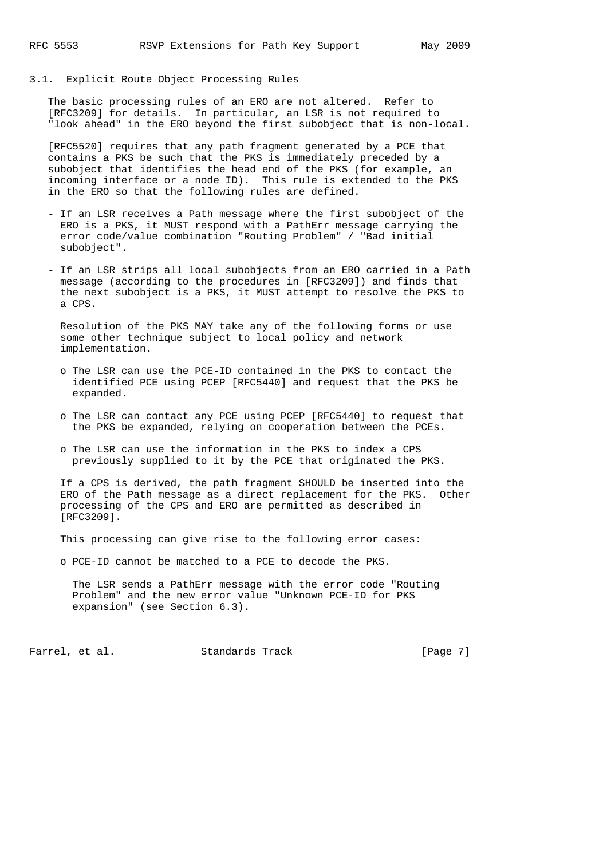3.1. Explicit Route Object Processing Rules

 The basic processing rules of an ERO are not altered. Refer to [RFC3209] for details. In particular, an LSR is not required to "look ahead" in the ERO beyond the first subobject that is non-local.

 [RFC5520] requires that any path fragment generated by a PCE that contains a PKS be such that the PKS is immediately preceded by a subobject that identifies the head end of the PKS (for example, an incoming interface or a node ID). This rule is extended to the PKS in the ERO so that the following rules are defined.

- If an LSR receives a Path message where the first subobject of the ERO is a PKS, it MUST respond with a PathErr message carrying the error code/value combination "Routing Problem" / "Bad initial subobject".
- If an LSR strips all local subobjects from an ERO carried in a Path message (according to the procedures in [RFC3209]) and finds that the next subobject is a PKS, it MUST attempt to resolve the PKS to a CPS.

 Resolution of the PKS MAY take any of the following forms or use some other technique subject to local policy and network implementation.

- o The LSR can use the PCE-ID contained in the PKS to contact the identified PCE using PCEP [RFC5440] and request that the PKS be expanded.
- o The LSR can contact any PCE using PCEP [RFC5440] to request that the PKS be expanded, relying on cooperation between the PCEs.
- o The LSR can use the information in the PKS to index a CPS previously supplied to it by the PCE that originated the PKS.

 If a CPS is derived, the path fragment SHOULD be inserted into the ERO of the Path message as a direct replacement for the PKS. Other processing of the CPS and ERO are permitted as described in [RFC3209].

This processing can give rise to the following error cases:

o PCE-ID cannot be matched to a PCE to decode the PKS.

 The LSR sends a PathErr message with the error code "Routing Problem" and the new error value "Unknown PCE-ID for PKS expansion" (see Section 6.3).

Farrel, et al. Standards Track [Page 7]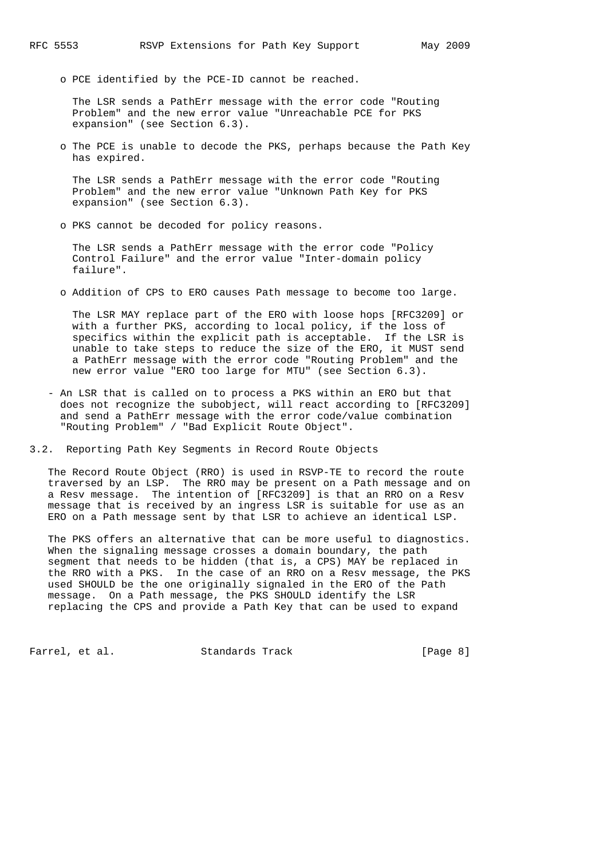o PCE identified by the PCE-ID cannot be reached.

 The LSR sends a PathErr message with the error code "Routing Problem" and the new error value "Unreachable PCE for PKS expansion" (see Section 6.3).

 o The PCE is unable to decode the PKS, perhaps because the Path Key has expired.

 The LSR sends a PathErr message with the error code "Routing Problem" and the new error value "Unknown Path Key for PKS expansion" (see Section 6.3).

o PKS cannot be decoded for policy reasons.

 The LSR sends a PathErr message with the error code "Policy Control Failure" and the error value "Inter-domain policy failure".

o Addition of CPS to ERO causes Path message to become too large.

 The LSR MAY replace part of the ERO with loose hops [RFC3209] or with a further PKS, according to local policy, if the loss of specifics within the explicit path is acceptable. If the LSR is unable to take steps to reduce the size of the ERO, it MUST send a PathErr message with the error code "Routing Problem" and the new error value "ERO too large for MTU" (see Section 6.3).

- An LSR that is called on to process a PKS within an ERO but that does not recognize the subobject, will react according to [RFC3209] and send a PathErr message with the error code/value combination "Routing Problem" / "Bad Explicit Route Object".
- 3.2. Reporting Path Key Segments in Record Route Objects

 The Record Route Object (RRO) is used in RSVP-TE to record the route traversed by an LSP. The RRO may be present on a Path message and on a Resv message. The intention of [RFC3209] is that an RRO on a Resv message that is received by an ingress LSR is suitable for use as an ERO on a Path message sent by that LSR to achieve an identical LSP.

 The PKS offers an alternative that can be more useful to diagnostics. When the signaling message crosses a domain boundary, the path segment that needs to be hidden (that is, a CPS) MAY be replaced in the RRO with a PKS. In the case of an RRO on a Resv message, the PKS used SHOULD be the one originally signaled in the ERO of the Path message. On a Path message, the PKS SHOULD identify the LSR replacing the CPS and provide a Path Key that can be used to expand

Farrel, et al. Standards Track [Page 8]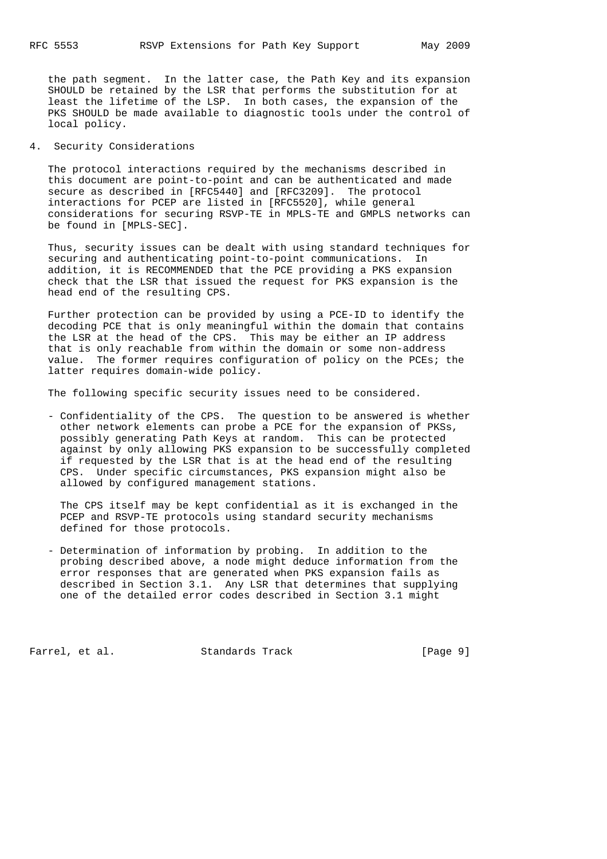the path segment. In the latter case, the Path Key and its expansion SHOULD be retained by the LSR that performs the substitution for at least the lifetime of the LSP. In both cases, the expansion of the PKS SHOULD be made available to diagnostic tools under the control of local policy.

# 4. Security Considerations

 The protocol interactions required by the mechanisms described in this document are point-to-point and can be authenticated and made secure as described in [RFC5440] and [RFC3209]. The protocol interactions for PCEP are listed in [RFC5520], while general considerations for securing RSVP-TE in MPLS-TE and GMPLS networks can be found in [MPLS-SEC].

 Thus, security issues can be dealt with using standard techniques for securing and authenticating point-to-point communications. In addition, it is RECOMMENDED that the PCE providing a PKS expansion check that the LSR that issued the request for PKS expansion is the head end of the resulting CPS.

 Further protection can be provided by using a PCE-ID to identify the decoding PCE that is only meaningful within the domain that contains the LSR at the head of the CPS. This may be either an IP address that is only reachable from within the domain or some non-address value. The former requires configuration of policy on the PCEs; the latter requires domain-wide policy.

The following specific security issues need to be considered.

 - Confidentiality of the CPS. The question to be answered is whether other network elements can probe a PCE for the expansion of PKSs, possibly generating Path Keys at random. This can be protected against by only allowing PKS expansion to be successfully completed if requested by the LSR that is at the head end of the resulting CPS. Under specific circumstances, PKS expansion might also be allowed by configured management stations.

 The CPS itself may be kept confidential as it is exchanged in the PCEP and RSVP-TE protocols using standard security mechanisms defined for those protocols.

 - Determination of information by probing. In addition to the probing described above, a node might deduce information from the error responses that are generated when PKS expansion fails as described in Section 3.1. Any LSR that determines that supplying one of the detailed error codes described in Section 3.1 might

Farrel, et al. Standards Track [Page 9]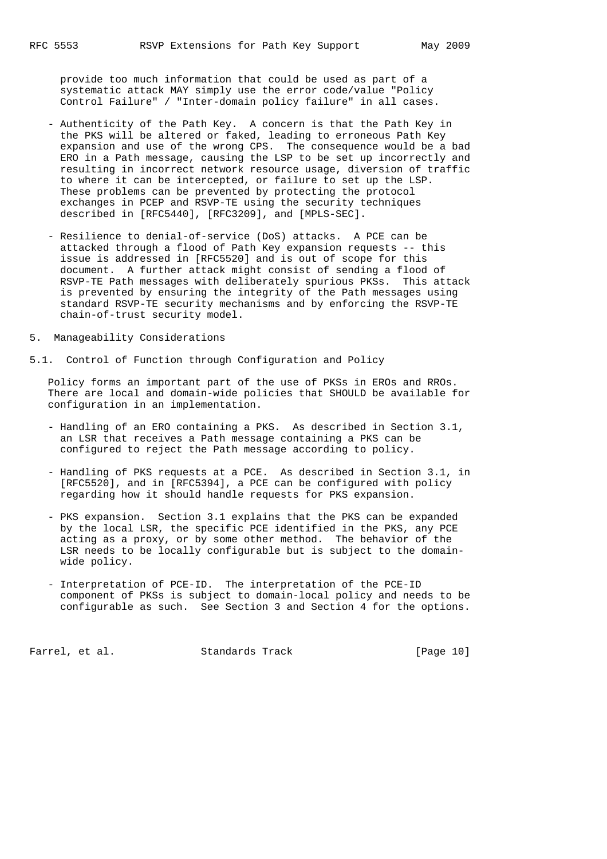provide too much information that could be used as part of a systematic attack MAY simply use the error code/value "Policy Control Failure" / "Inter-domain policy failure" in all cases.

- Authenticity of the Path Key. A concern is that the Path Key in the PKS will be altered or faked, leading to erroneous Path Key expansion and use of the wrong CPS. The consequence would be a bad ERO in a Path message, causing the LSP to be set up incorrectly and resulting in incorrect network resource usage, diversion of traffic to where it can be intercepted, or failure to set up the LSP. These problems can be prevented by protecting the protocol exchanges in PCEP and RSVP-TE using the security techniques described in [RFC5440], [RFC3209], and [MPLS-SEC].
- Resilience to denial-of-service (DoS) attacks. A PCE can be attacked through a flood of Path Key expansion requests -- this issue is addressed in [RFC5520] and is out of scope for this document. A further attack might consist of sending a flood of RSVP-TE Path messages with deliberately spurious PKSs. This attack is prevented by ensuring the integrity of the Path messages using standard RSVP-TE security mechanisms and by enforcing the RSVP-TE chain-of-trust security model.
- 5. Manageability Considerations
- 5.1. Control of Function through Configuration and Policy

 Policy forms an important part of the use of PKSs in EROs and RROs. There are local and domain-wide policies that SHOULD be available for configuration in an implementation.

- Handling of an ERO containing a PKS. As described in Section 3.1, an LSR that receives a Path message containing a PKS can be configured to reject the Path message according to policy.
- Handling of PKS requests at a PCE. As described in Section 3.1, in [RFC5520], and in [RFC5394], a PCE can be configured with policy regarding how it should handle requests for PKS expansion.
- PKS expansion. Section 3.1 explains that the PKS can be expanded by the local LSR, the specific PCE identified in the PKS, any PCE acting as a proxy, or by some other method. The behavior of the LSR needs to be locally configurable but is subject to the domain wide policy.
- Interpretation of PCE-ID. The interpretation of the PCE-ID component of PKSs is subject to domain-local policy and needs to be configurable as such. See Section 3 and Section 4 for the options.

Farrel, et al. Standards Track [Page 10]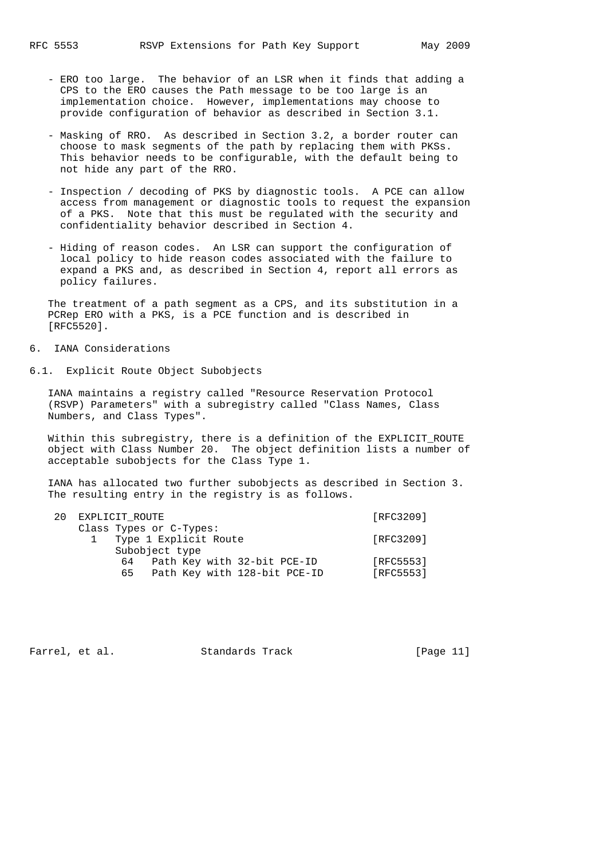- ERO too large. The behavior of an LSR when it finds that adding a CPS to the ERO causes the Path message to be too large is an implementation choice. However, implementations may choose to provide configuration of behavior as described in Section 3.1.
- Masking of RRO. As described in Section 3.2, a border router can choose to mask segments of the path by replacing them with PKSs. This behavior needs to be configurable, with the default being to not hide any part of the RRO.
- Inspection / decoding of PKS by diagnostic tools. A PCE can allow access from management or diagnostic tools to request the expansion of a PKS. Note that this must be regulated with the security and confidentiality behavior described in Section 4.
- Hiding of reason codes. An LSR can support the configuration of local policy to hide reason codes associated with the failure to expand a PKS and, as described in Section 4, report all errors as policy failures.

 The treatment of a path segment as a CPS, and its substitution in a PCRep ERO with a PKS, is a PCE function and is described in [RFC5520].

# 6. IANA Considerations

6.1. Explicit Route Object Subobjects

 IANA maintains a registry called "Resource Reservation Protocol (RSVP) Parameters" with a subregistry called "Class Names, Class Numbers, and Class Types".

 Within this subregistry, there is a definition of the EXPLICIT\_ROUTE object with Class Number 20. The object definition lists a number of acceptable subobjects for the Class Type 1.

 IANA has allocated two further subobjects as described in Section 3. The resulting entry in the registry is as follows.

| 20 | EXPLICIT ROUTE                                                          |                        |  |  |
|----|-------------------------------------------------------------------------|------------------------|--|--|
|    | Class Types or C-Types:<br>Type 1 Explicit Route<br>Subobject type      | [RFC3209]              |  |  |
|    | Path Key with 32-bit PCE-ID<br>64<br>Path Key with 128-bit PCE-ID<br>65 | [RFC5553]<br>[RFC5553] |  |  |

Farrel, et al. Standards Track [Page 11]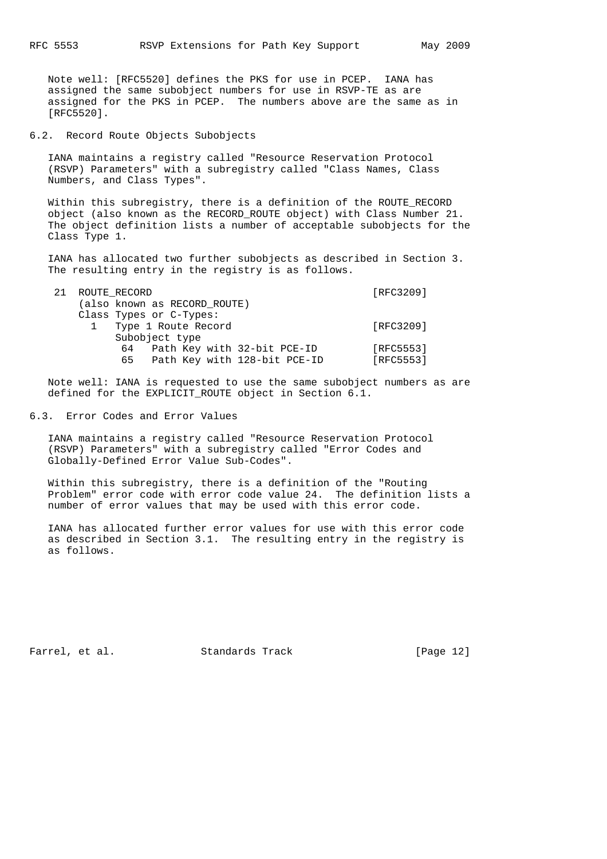Note well: [RFC5520] defines the PKS for use in PCEP. IANA has assigned the same subobject numbers for use in RSVP-TE as are assigned for the PKS in PCEP. The numbers above are the same as in [RFC5520].

## 6.2. Record Route Objects Subobjects

 IANA maintains a registry called "Resource Reservation Protocol (RSVP) Parameters" with a subregistry called "Class Names, Class Numbers, and Class Types".

Within this subregistry, there is a definition of the ROUTE RECORD object (also known as the RECORD\_ROUTE object) with Class Number 21. The object definition lists a number of acceptable subobjects for the Class Type 1.

 IANA has allocated two further subobjects as described in Section 3. The resulting entry in the registry is as follows.

| 21             |  |    |  | [RFC3209]                                                                                                                                                        |
|----------------|--|----|--|------------------------------------------------------------------------------------------------------------------------------------------------------------------|
|                |  |    |  |                                                                                                                                                                  |
|                |  |    |  |                                                                                                                                                                  |
|                |  |    |  | [RFC3209]                                                                                                                                                        |
| Subobject type |  |    |  |                                                                                                                                                                  |
|                |  |    |  | [RFC5553]                                                                                                                                                        |
|                |  | 65 |  | [RFC5553]                                                                                                                                                        |
|                |  |    |  | ROUTE RECORD<br>(also known as RECORD ROUTE)<br>Class Types or C-Types:<br>Type 1 Route Record<br>64 Path Key with 32-bit PCE-ID<br>Path Key with 128-bit PCE-ID |

 Note well: IANA is requested to use the same subobject numbers as are defined for the EXPLICIT\_ROUTE object in Section 6.1.

## 6.3. Error Codes and Error Values

 IANA maintains a registry called "Resource Reservation Protocol (RSVP) Parameters" with a subregistry called "Error Codes and Globally-Defined Error Value Sub-Codes".

 Within this subregistry, there is a definition of the "Routing Problem" error code with error code value 24. The definition lists a number of error values that may be used with this error code.

 IANA has allocated further error values for use with this error code as described in Section 3.1. The resulting entry in the registry is as follows.

Farrel, et al. Standards Track [Page 12]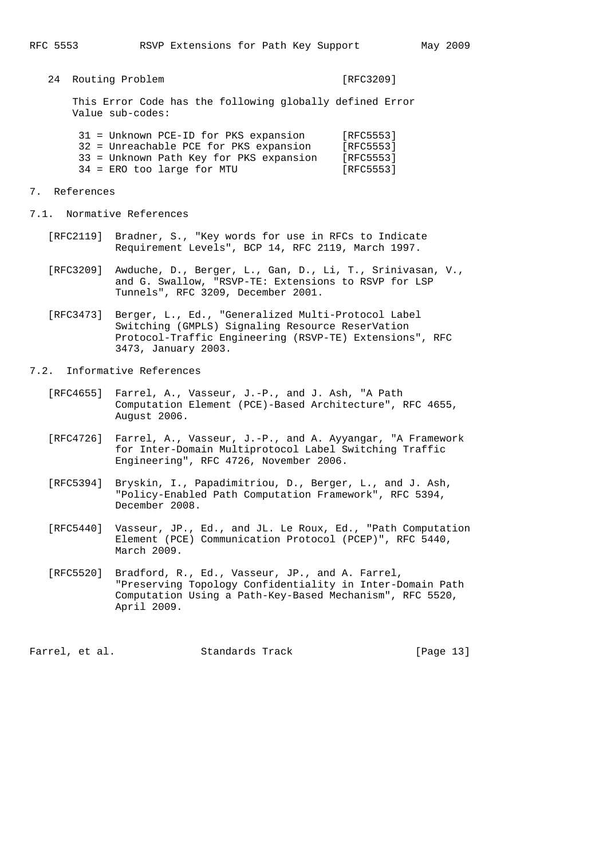24 Routing Problem [RFC3209]

 This Error Code has the following globally defined Error Value sub-codes:

| 31 = Unknown PCE-ID for PKS expansion   | [RFC5553] |
|-----------------------------------------|-----------|
| 32 = Unreachable PCE for PKS expansion  | [RFC5553] |
| 33 = Unknown Path Key for PKS expansion | [RFC5553] |
| 34 = ERO too large for MTU              | [RFC5553] |

- 7. References
- 7.1. Normative References
	- [RFC2119] Bradner, S., "Key words for use in RFCs to Indicate Requirement Levels", BCP 14, RFC 2119, March 1997.
	- [RFC3209] Awduche, D., Berger, L., Gan, D., Li, T., Srinivasan, V., and G. Swallow, "RSVP-TE: Extensions to RSVP for LSP Tunnels", RFC 3209, December 2001.
	- [RFC3473] Berger, L., Ed., "Generalized Multi-Protocol Label Switching (GMPLS) Signaling Resource ReserVation Protocol-Traffic Engineering (RSVP-TE) Extensions", RFC 3473, January 2003.
- 7.2. Informative References
	- [RFC4655] Farrel, A., Vasseur, J.-P., and J. Ash, "A Path Computation Element (PCE)-Based Architecture", RFC 4655, August 2006.
	- [RFC4726] Farrel, A., Vasseur, J.-P., and A. Ayyangar, "A Framework for Inter-Domain Multiprotocol Label Switching Traffic Engineering", RFC 4726, November 2006.
	- [RFC5394] Bryskin, I., Papadimitriou, D., Berger, L., and J. Ash, "Policy-Enabled Path Computation Framework", RFC 5394, December 2008.
	- [RFC5440] Vasseur, JP., Ed., and JL. Le Roux, Ed., "Path Computation Element (PCE) Communication Protocol (PCEP)", RFC 5440, March 2009.
	- [RFC5520] Bradford, R., Ed., Vasseur, JP., and A. Farrel, "Preserving Topology Confidentiality in Inter-Domain Path Computation Using a Path-Key-Based Mechanism", RFC 5520, April 2009.

Farrel, et al. Standards Track [Page 13]